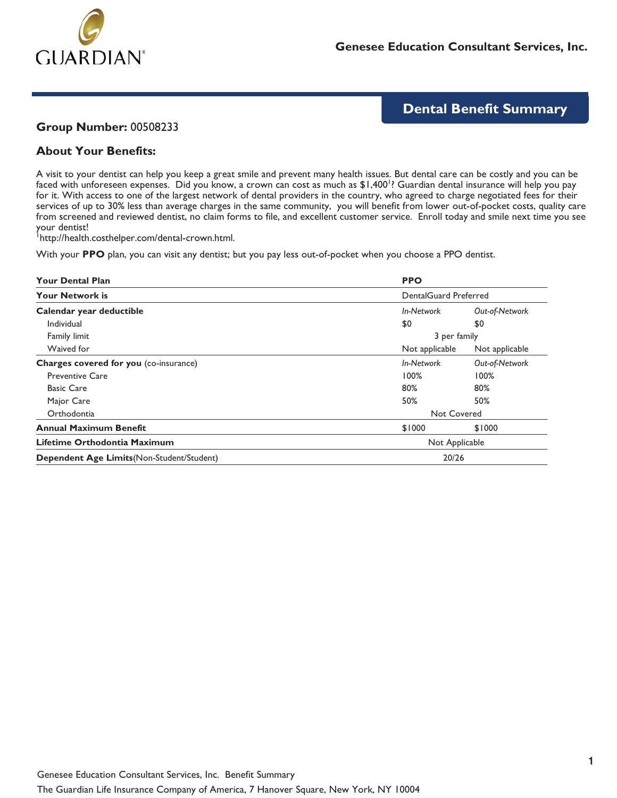

# **Dental Benefit Summary**

#### **Group Number:** 00508233

### **About Your Benefits:**

A visit to your dentist can help you keep a great smile and prevent many health issues. But dental care can be costly and you can be faced with unforeseen expenses. Did you know, a crown can cost as much as \$1,400<sup>1</sup>? Guardian dental insurance will help you pay for it. With access to one of the largest network of dental providers in the country, who agreed to charge negotiated fees for their services of up to 30% less than average charges in the same community, you will benefit from lower out-of-pocket costs, quality care from screened and reviewed dentist, no claim forms to file, and excellent customer service. Enroll today and smile next time you see your dentist!

1 http://health.costhelper.com/dental-crown.html.

With your **PPO** plan, you can visit any dentist; but you pay less out-of-pocket when you choose a PPO dentist.

| <b>Your Dental Plan</b>                       | <b>PPO</b>                   |                |  |
|-----------------------------------------------|------------------------------|----------------|--|
| <b>Your Network is</b>                        | <b>DentalGuard Preferred</b> |                |  |
| Calendar year deductible                      | In-Network                   | Out-of-Network |  |
| Individual                                    | \$0                          | \$0            |  |
| Family limit                                  |                              | 3 per family   |  |
| Waived for                                    | Not applicable               | Not applicable |  |
| <b>Charges covered for you (co-insurance)</b> | In-Network                   | Out-of-Network |  |
| <b>Preventive Care</b>                        | 100%                         | 100%           |  |
| <b>Basic Care</b>                             | 80%                          | 80%            |  |
| Major Care                                    | 50%                          | 50%            |  |
| Orthodontia                                   |                              | Not Covered    |  |
| <b>Annual Maximum Benefit</b>                 | \$1000                       | \$1000         |  |
| Lifetime Orthodontia Maximum                  | Not Applicable               |                |  |
| Dependent Age Limits (Non-Student/Student)    | 20/26                        |                |  |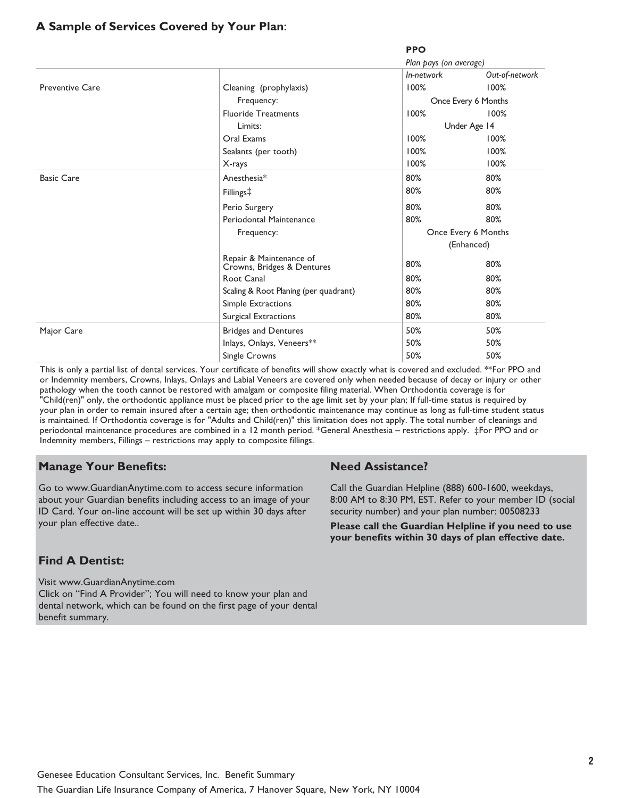### **A Sample of Services Covered by Your Plan:**

**PPO**

|                        |                                                       | Plan pays (on average) |                |
|------------------------|-------------------------------------------------------|------------------------|----------------|
|                        |                                                       | In-network             | Out-of-network |
| <b>Preventive Care</b> | Cleaning (prophylaxis)                                | 100%                   | 100%           |
|                        | Frequency:                                            | Once Every 6 Months    |                |
|                        | <b>Fluoride Treatments</b>                            | 100%                   | 100%           |
|                        | Limits:                                               | Under Age 14           |                |
|                        | Oral Exams                                            | 100%                   | 100%           |
|                        | Sealants (per tooth)                                  | 100%                   | 100%           |
|                        | X-rays                                                | 100%                   | 100%           |
| <b>Basic Care</b>      | Anesthesia*                                           | 80%                    | 80%            |
|                        | Fillings‡                                             | 80%                    | 80%            |
|                        | Perio Surgery                                         | 80%                    | 80%            |
|                        | Periodontal Maintenance                               | 80%                    | 80%            |
|                        | Frequency:                                            | Once Every 6 Months    |                |
|                        |                                                       | (Enhanced)             |                |
|                        | Repair & Maintenance of<br>Crowns, Bridges & Dentures | 80%                    | 80%            |
|                        | Root Canal                                            | 80%                    | 80%            |
|                        | Scaling & Root Planing (per quadrant)                 | 80%                    | 80%            |
|                        | Simple Extractions                                    | 80%                    | 80%            |
|                        | Surgical Extractions                                  | 80%                    | 80%            |
| Major Care             | <b>Bridges and Dentures</b>                           | 50%                    | 50%            |
|                        | Inlays, Onlays, Veneers**                             | 50%                    | 50%            |
|                        | Single Crowns                                         | 50%                    | 50%            |

This is only a partial list of dental services. Your certificate of benefits will show exactly what is covered and excluded. \*\*For PPO and or Indemnity members, Crowns, Inlays, Onlays and Labial Veneers are covered only when needed because of decay or injury or other pathology when the tooth cannot be restored with amalgam or composite filing material. When Orthodontia coverage is for "Child(ren)" only, the orthodontic appliance must be placed prior to the age limit set by your plan; If full-time status is required by your plan in order to remain insured after a certain age; then orthodontic maintenance may continue as long as full-time student status is maintained. If Orthodontia coverage is for "Adults and Child(ren)" this limitation does not apply. The total number of cleanings and periodontal maintenance procedures are combined in a 12 month period. \*General Anesthesia – restrictions apply. ‡For PPO and or Indemnity members, Fillings – restrictions may apply to composite fillings.

## **Manage Your Benefits:**

Go to www.GuardianAnytime.com to access secure information about your Guardian benefits including access to an image of your ID Card. Your on-line account will be set up within 30 days after your plan effective date..

## **Find A Dentist:**

Visit www.GuardianAnytime.com Click on "Find A Provider"; You will need to know your plan and dental network, which can be found on the first page of your dental benefit summary.

#### **Need Assistance?**

Call the Guardian Helpline (888) 600-1600, weekdays, 8:00 AM to 8:30 PM, EST. Refer to your member ID (social security number) and your plan number: 00508233

**Please call the Guardian Helpline if you need to use your benefits within 30 days of plan effective date.**